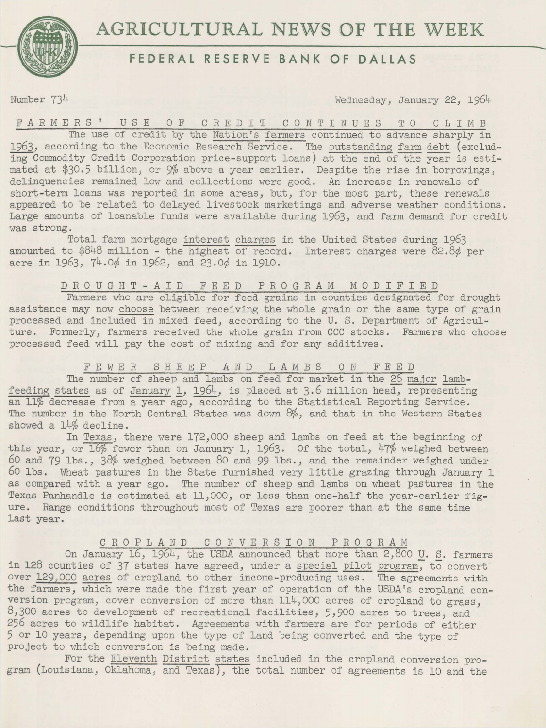

# **AGRICULTURAL** NEWS **OF THE** WEEK

## **FEDERAL RESERVE BANK OF DALLAS**

Number  $73<sup>4</sup>$  Wednesday, January 22, 1964

FARMERS' USE OF CREDIT CONTINUES TO CLIMB The use of credit by the Nation's farmers continued to advance sharply in 1963, according to the Economic Research Service. The outstanding farm debt (excluding Commodity Credit Corporation price-support loans) at the end of the year is estimated at \$30.5 billion, or 9% above a year earlier. Despite the rise in borrowings, delinquencies remained low and collections were good. *An* increase in renewals of short-term loans was reported in some areas, but, for the most part, these renewals appeared to be related to delayed livestock marketings and adverse weather conditions. Large amounts of loanable funds were available during 1963, and farm demand for credit was strong.

Total farm mortgage interest charges in the United States during 1963 amounted to \$848 million - the highest of record. Interest charges were 82.8¢ per acre in 1963, 74.0¢ in 1962, and 23.0¢ in 1910.

#### D R 0 U G H T - *A* I D FEED PROGRAM MODIFIED

Farmers who are eligible for feed grains in counties designated for drought assistance may now choose between receiving the whole grain or the same type of grain processed and included in mixed feed, according to the U. S. Department of Agriculture. Formerly, farmers received the whole grain from CCC stocks. Farmers who choose processed feed will pay the cost of mixing and for any additives.

#### FEWER SHEEP *AND* LAMBS ON FEED

The number of sheep and lambs on feed for market in the 26 major lambf eeding states as of January 1, 1964, is placed at 3.6 million head; representing an 11% decrease from a year ago, according to the Statistical Reporting Service. The number in the North Central States was down 8%, and that in the Western States showed a 14% decline.

In Texas, there were 172,000 sheep and lambs on feed at the beginning of this year, or  $16\%$  fewer than on January 1, 1963. Of the total, 47% weighed between *60* and 79 lbs., 38% weighed. between 80 and 99 lbs., and the remainder weighed under *60* lbs. Wheat pastures in the State furnished very little grazing through January 1 as compared with a year ago. The number of sheep and lambs on wheat pastures in the Texas Panhandle is estimated at 11,000, or less than one-half the year-earlier figure. Range conditions throughout most of Texas are poorer than at the same time last year.

#### CROPLAND CONVERSION PROGRAM

On January 16, 1964, the USDA announced that more than 2,800 U. S. farmers in 128 counties of 37 states have agreed, under a special pilot program, to convert over 129,000 acres of cropland to other income-producing uses. The agreements with the farmers, which were made the first year of operation of the USDA's cropland conversion program, cover conversion of more than  $114,000$  acres of cropland to grass. 8,300 acres to development of recreational facilities, 5,900 acres to trees, and 256 acres to wildlife habitat. Agreements with farmers are for periods of either 5 or 10 years, depending upon the type of land being converted and the type of project to which conversion is being made.

For the Eleventh District states included in the cropland conversion program (Louisiana, Oklahoma, and Texas), the total number of agreements is 10 and the